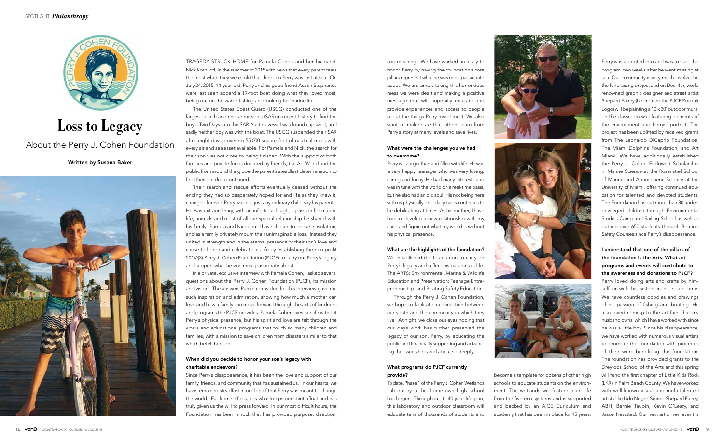

# **Loss to Legacy**

## About the Perry J. Cohen Foundation

#### Written by Susana Baker



TRAGEDY STRUCK HOME for Pamela Cohen and her husband, Nick Korniloff, in the summer of 2015 with news that every parent fears the most when they were told that their son Perry was lost at sea. On July 24, 2015, 14-year-old, Perry and his good friend Austin Stephanos were last seen aboard a 19-foot boat doing what they loved most, being out on the water, fishing and looking for marine life.

The United States Coast Guard (USCG) conducted one of the largest search and rescue missions (SAR) in recent history to find the boys. Two Days into the SAR Austins vessel was found capsized, and sadly neither boy was with the boat. The USCG suspended their SAR after eight days, covering 55,000 square feet of nautical miles with every air and sea asset available. For Pamela and Nick, the search for their son was not close to being finished. With the support of both families and private funds donated by friends, the Art World and the public from around the globe the parent's steadfast determination to find their children continued.

Their search and rescue efforts eventually ceased without the ending they had so desperately hoped for and life as they knew it, changed forever. Perry was not just any ordinary child, say his parents. He was extraordinary, with an infectious laugh, a passion for marine life, animals and most of all the special relationship he shared with his family. Pamela and Nick could have chosen to grieve in isolation, and as a family privately mourn their unimaginable loss. Instead they united in strength and in the eternal presence of their son's love and chose to honor and celebrate his life by establishing the non-profit 501©(3) Perry J. Cohen Foundation (PJCF) to carry out Perry's legacy and support what he was most passionate about.

In a private, exclusive interview with Pamela Cohen, I asked several questions about the Perry J. Cohen Foundation (PJCF), its mission and vision. The answers Pamela provided for this interview gave me such inspiration and admiration, showing how much a mother can love and how a family can move forward through the acts of kindness and programs the PJCF provides. Pamela Cohen lives her life without Perry's physical presence, but his spirit and love are felt through the works and educational programs that touch so many children and families, with a mission to save children from disasters similar to that which befell her son.

#### When did you decide to honor your son's legacy with charitable endeavors?

Since Perry's disappearance, it has been the love and support of our family, friends, and community that has sustained us. In our hearts, we have remained steadfast in our belief that Perry was meant to change the world. Far from selfless, it is what keeps our spirit afloat and has truly given us the will to press forward. In our most difficult hours, the Foundation has been a rock that has provided purpose, direction,

and meaning. We have worked tirelessly to honor Perry by having the foundation's core pillars represent what he was most passionate about. We are simply taking this horrendous mess we were dealt and making a positive message that will hopefully educate and provide experiences and access to people about the things Perry loved most. We also want to make sure that others learn from Perry's story at many levels and save lives.

#### What were the challenges you've had to overcome?

Perry was larger than and filled with life. He was a very happy teenager who was very loving, caring and funny. He had many interests and was in tune with the world on a real-time basis, but he also had an old soul. His not being here with us physically on a daily basis continues to be debilitating at times. As his mother, I have had to develop a new relationship with my child and figure out what my world is without his physical presence.

#### What are the highlights of the foundation?

We established the foundation to carry on Perry's legacy and reflect his passions in life: The ARTS; Environmental, Marine & Wildlife Education and Preservation; Teenage Entrepreneurship: and Boating Safety Education.

Through the Perry J. Cohen Foundation, we hope to facilitate a connection between our youth and the community in which they live. At night, we close our eyes hoping that our day's work has further preserved the legacy of our son, Perry, by educating the public and financially supporting and advancing the issues he cared about so deeply.

#### What programs do PJCF currently provide?

To date, Phase 1 of the Perry J. Cohen Wetlands Laboratory at his hometown high school has begun. Throughout its 40 year lifespan, this laboratory and outdoor classroom will educate tens of thousands of students and







become a template for dozens of other high schools to educate students on the environment. The wetlands will feature plant life from the five eco systems and is supported and backed by an AICE Curiculum and academy that has been in place for 15 years.

Perry was accepted into and was to start this program, two weeks after he went missing at sea. Our community is very much involved in the fundraising project and on Dec. 4th, world renowned graphic designer and street artist Shepard Fairey (he created the PJCF Portrait Logo) will be painting a 10'x 30' outdoor mural on the classroom wall featuring elements of the environment and Perrys' portrait. The project has been uplifted by received grants from The Leonardo DiCaprio Foundation, The Miami Dolphins Foundation, and Art Miami. We have additionally established the Perry J. Cohen Endowed Scholarship in Marine Science at the Rosenstiel School of Marine and Atmospheric Science at the University of Miami, offering continued education for talented and devoted students. The Foundation has put more than 80 underprivileged children through Environmental Studies Camp and Sailing School as well as putting over 650 students through Boating Safety Courses since Perry's disappearance.

### I understand that one of the pillars of the foundation is the Arts. What art programs and events will contribute to the awareness and donations to PJCF?

Perry loved doing arts and crafts by himself or with his sisters in his spare time. We have countless doodles and drawings of his passion of fishing and boating. He also loved coming to the art fairs that my husband owns, which I have worked with since he was a little boy. Since his disappearance, we have worked with numerous visual artists to promote the foundation with proceeds of their work benefiting the foundation. The foundation has provided grants to the Dreyfoos School of the Arts and this spring will fund the first chapter of Little Kids Rock (LKR) in Palm Beach County. We have worked with well-known visual and multi-talented artists like Udo Noger, Sipros, Shepard Fairey, ABH, Bernie Taupin, Kevin O'Leary, and Jason Newsted. Our next art driven event is